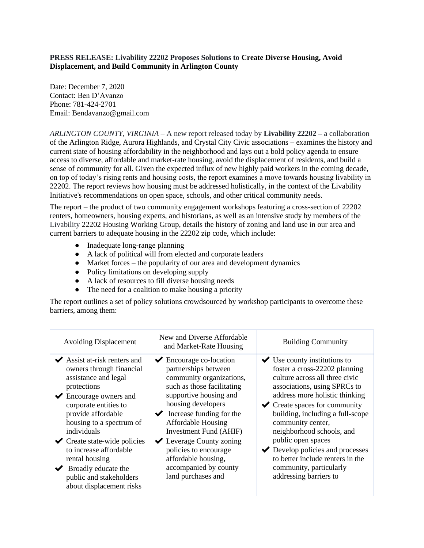## **PRESS RELEASE: Livability 22202 Proposes Solutions to Create Diverse Housing, Avoid Displacement, and Build Community in Arlington County**

Date: December 7, 2020 Contact: Ben D'Avanzo Phone: 781-424-2701 Email: Bendavanzo@gmail.com

*ARLINGTON COUNTY, VIRGINIA* – A new report released today by **Livability 22202 –** a collaboration of the Arlington Ridge, Aurora Highlands, and Crystal City Civic associations – examines the history and current state of housing affordability in the neighborhood and lays out a bold policy agenda to ensure access to diverse, affordable and market-rate housing, avoid the displacement of residents, and build a sense of community for all. Given the expected influx of new highly paid workers in the coming decade, on top of today's rising rents and housing costs, the report examines a move towards housing livability in 22202. The report reviews how housing must be addressed holistically, in the context of the Livability Initiative's recommendations on open space, schools, and other critical community needs.

The report – the product of two community engagement workshops featuring a cross-section of 22202 renters, homeowners, housing experts, and historians, as well as an intensive study by members of the Livability 22202 Housing Working Group, details the history of zoning and land use in our area and current barriers to adequate housing in the 22202 zip code, which include:

- Inadequate long-range planning
- A lack of political will from elected and corporate leaders
- Market forces the popularity of our area and development dynamics
- Policy limitations on developing supply
- A lack of resources to fill diverse housing needs
- The need for a coalition to make housing a priority

The report outlines a set of policy solutions crowdsourced by workshop participants to overcome these barriers, among them:

| <b>Avoiding Displacement</b>                                                                                                                                                                                                                                                                                                                                                                                                                           | New and Diverse Affordable<br>and Market-Rate Housing                                                                                                                                                                                                                                                                                                                                                                           | <b>Building Community</b>                                                                                                                                                                                                                                                                                                                                                                                                                                                                      |
|--------------------------------------------------------------------------------------------------------------------------------------------------------------------------------------------------------------------------------------------------------------------------------------------------------------------------------------------------------------------------------------------------------------------------------------------------------|---------------------------------------------------------------------------------------------------------------------------------------------------------------------------------------------------------------------------------------------------------------------------------------------------------------------------------------------------------------------------------------------------------------------------------|------------------------------------------------------------------------------------------------------------------------------------------------------------------------------------------------------------------------------------------------------------------------------------------------------------------------------------------------------------------------------------------------------------------------------------------------------------------------------------------------|
| $\blacktriangleright$ Assist at-risk renters and<br>owners through financial<br>assistance and legal<br>protections<br>$\blacktriangleright$ Encourage owners and<br>corporate entities to<br>provide affordable<br>housing to a spectrum of<br>individuals<br>$\checkmark$ Create state-wide policies<br>to increase affordable<br>rental housing<br>$\blacktriangleright$ Broadly educate the<br>public and stakeholders<br>about displacement risks | Encourage co-location<br>$\checkmark$<br>partnerships between<br>community organizations,<br>such as those facilitating<br>supportive housing and<br>housing developers<br>$\blacktriangleright$ Increase funding for the<br><b>Affordable Housing</b><br>Investment Fund (AHIF)<br>$\blacktriangleright$ Leverage County zoning<br>policies to encourage<br>affordable housing,<br>accompanied by county<br>land purchases and | $\blacktriangleright$ Use county institutions to<br>foster a cross-22202 planning<br>culture across all three civic<br>associations, using SPRCs to<br>address more holistic thinking<br>$\checkmark$ Create spaces for community<br>building, including a full-scope<br>community center,<br>neighborhood schools, and<br>public open spaces<br>$\blacktriangleright$ Develop policies and processes<br>to better include renters in the<br>community, particularly<br>addressing barriers to |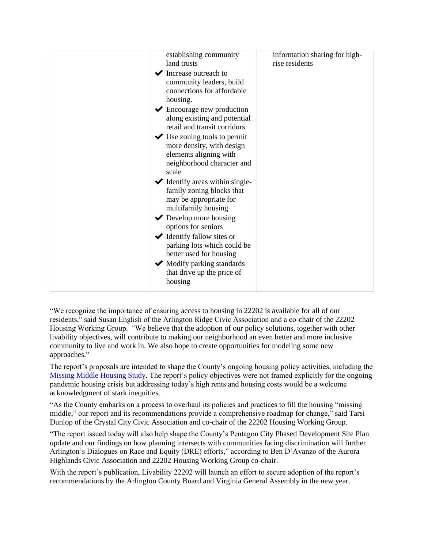| establishing community<br>land trusts<br>$\blacktriangleright$ Increase outreach to<br>community leaders, build<br>connections for affordable<br>housing.<br>$\blacktriangleright$ Encourage new production<br>along existing and potential<br>retail and transit corridors<br>$\blacktriangleright$ Use zoning tools to permit<br>more density, with design<br>elements aligning with<br>neighborhood character and<br>scale<br>$\blacktriangleright$ Identify areas within single-<br>family zoning blocks that<br>may be appropriate for<br>multifamily housing<br>$\blacktriangleright$ Develop more housing<br>options for seniors<br>$\blacktriangleright$ Identify fallow sites or<br>parking lots which could be<br>better used for housing<br>$\blacktriangleright$ Modify parking standards<br>that drive up the price of<br>housing | information sharing for high-<br>rise residents |
|------------------------------------------------------------------------------------------------------------------------------------------------------------------------------------------------------------------------------------------------------------------------------------------------------------------------------------------------------------------------------------------------------------------------------------------------------------------------------------------------------------------------------------------------------------------------------------------------------------------------------------------------------------------------------------------------------------------------------------------------------------------------------------------------------------------------------------------------|-------------------------------------------------|
|------------------------------------------------------------------------------------------------------------------------------------------------------------------------------------------------------------------------------------------------------------------------------------------------------------------------------------------------------------------------------------------------------------------------------------------------------------------------------------------------------------------------------------------------------------------------------------------------------------------------------------------------------------------------------------------------------------------------------------------------------------------------------------------------------------------------------------------------|-------------------------------------------------|

"We recognize the importance of ensuring access to housing in 22202 is available for all of our residents," said Susan English of the Arlington Ridge Civic Association and a co-chair of the 22202 Housing Working Group. "We believe that the adoption of our policy solutions, together with other livability objectives, will contribute to making our neighborhood an even better and more inclusive community to live and work in. We also hope to create opportunities for modeling some new approaches."

The report's proposals are intended to shape the County's ongoing housing policy activities, including the [Missing Middle Housing Study.](https://housing.arlingtonva.us/missingmiddle/) The report's policy objectives were not framed explicitly for the ongoing pandemic housing crisis but addressing today's high rents and housing costs would be a welcome acknowledgment of stark inequities.

"As the County embarks on a process to overhaul its policies and practices to fill the housing "missing middle," our report and its recommendations provide a comprehensive roadmap for change," said Tarsi Dunlop of the Crystal City Civic Association and co-chair of the 22202 Housing Working Group.

"The report issued today will also help shape the County's Pentagon City Phased Development Site Plan update and our findings on how planning intersects with communities facing discrimination will further Arlington's Dialogues on Race and Equity (DRE) efforts," according to Ben D'Avanzo of the Aurora Highlands Civic Association and 22202 Housing Working Group co-chair.

With the report's publication, Livability 22202 will launch an effort to secure adoption of the report's recommendations by the Arlington County Board and Virginia General Assembly in the new year.